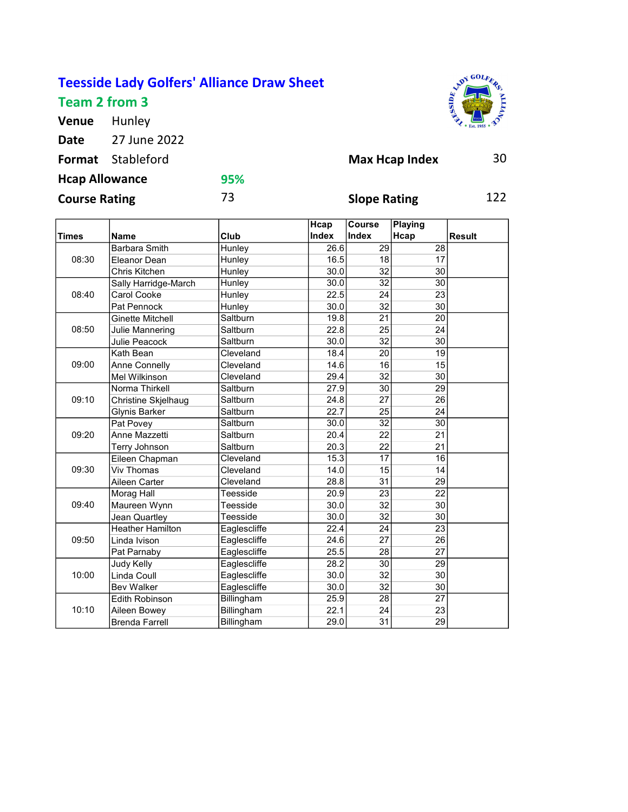## Teesside Lady Golfers' Alliance Draw Sheet

Team 2 from 3

Venue Hunley Date 27 June 2022 **ADY GOLFE** 

| <b>Format</b> Stableford |     | <b>Max Hcap Index</b> | 30  |
|--------------------------|-----|-----------------------|-----|
| <b>Hcap Allowance</b>    | 95% |                       |     |
| <b>Course Rating</b>     | 73  | <b>Slope Rating</b>   | 122 |

|              |                            |              | Hcap         | Course<br><b>Index</b> | Playing         |               |
|--------------|----------------------------|--------------|--------------|------------------------|-----------------|---------------|
| <b>Times</b> | <b>Name</b>                | Club         | <b>Index</b> |                        | Hcap            | <b>Result</b> |
| 08:30        | <b>Barbara Smith</b>       | Hunley       | 26.6         | 29                     | 28              |               |
|              | Eleanor Dean               | Hunley       | 16.5         | 18                     | 17              |               |
|              | Chris Kitchen              | Hunley       | 30.0         | 32                     | 30              |               |
|              | Sally Harridge-March       | Hunley       | 30.0         | 32                     | 30              |               |
| 08:40        | Carol Cooke                | Hunley       | 22.5         | 24                     | 23              |               |
|              | Pat Pennock                | Hunley       | 30.0         | 32                     | 30              |               |
|              | <b>Ginette Mitchell</b>    | Saltburn     | 19.8         | 21                     | 20              |               |
| 08:50        | Julie Mannering            | Saltburn     | 22.8         | $\overline{25}$        | 24              |               |
|              | Julie Peacock              | Saltburn     | 30.0         | 32                     | 30              |               |
|              | Kath Bean                  | Cleveland    | 18.4         | $\overline{20}$        | $\overline{19}$ |               |
| 09:00        | Anne Connelly              | Cleveland    | 14.6         | 16                     | 15              |               |
|              | Mel Wilkinson              | Cleveland    | 29.4         | 32                     | 30              |               |
|              | Norma Thirkell             | Saltburn     | 27.9         | 30                     | $\overline{29}$ |               |
| 09:10        | <b>Christine Skjelhaug</b> | Saltburn     | 24.8         | 27                     | 26              |               |
|              | <b>Glynis Barker</b>       | Saltburn     | 22.7         | $\overline{25}$        | $\overline{24}$ |               |
|              | Pat Povey                  | Saltburn     | 30.0         | $\overline{32}$        | $\overline{30}$ |               |
| 09:20        | Anne Mazzetti              | Saltburn     | 20.4         | 22                     | 21              |               |
|              | Terry Johnson              | Saltburn     | 20.3         | 22                     | $\overline{21}$ |               |
|              | Eileen Chapman             | Cleveland    | 15.3         | $\overline{17}$        | 16              |               |
| 09:30        | <b>Viv Thomas</b>          | Cleveland    | 14.0         | 15                     | 14              |               |
|              | Aileen Carter              | Cleveland    | 28.8         | 31                     | 29              |               |
|              | Morag Hall                 | Teesside     | 20.9         | 23                     | 22              |               |
| 09:40        | Maureen Wynn               | Teesside     | 30.0         | $\overline{32}$        | 30              |               |
|              | Jean Quartley              | Teesside     | 30.0         | 32                     | 30              |               |
| 09:50        | <b>Heather Hamilton</b>    | Eaglescliffe | 22.4         | 24                     | 23              |               |
|              | Linda Ivison               | Eaglescliffe | 24.6         | 27                     | 26              |               |
|              | Pat Parnaby                | Eaglescliffe | 25.5         | 28                     | $\overline{27}$ |               |
| 10:00        | Judy Kelly                 | Eaglescliffe | 28.2         | 30                     | $\overline{29}$ |               |
|              | Linda Coull                | Eaglescliffe | 30.0         | 32                     | 30              |               |
|              | <b>Bev Walker</b>          | Eaglescliffe | 30.0         | 32                     | 30              |               |
|              | <b>Edith Robinson</b>      | Billingham   | 25.9         | $\overline{28}$        | $\overline{27}$ |               |
| 10:10        | Aileen Bowey               | Billingham   | 22.1         | 24                     | 23              |               |
|              |                            |              |              |                        |                 |               |
|              | <b>Brenda Farrell</b>      | Billingham   | 29.0         | 31                     | 29              |               |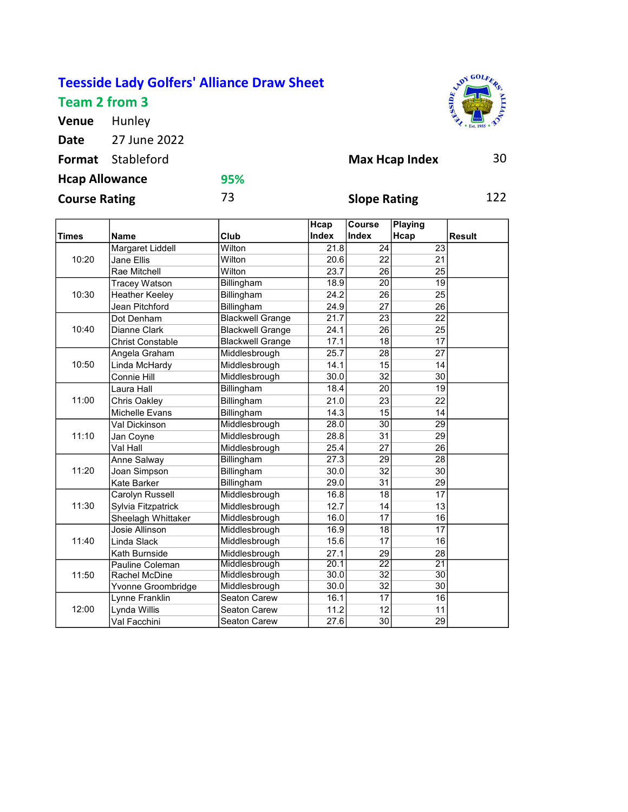## Teesside Lady Golfers' Alliance Draw Sheet Team 2 from 3

Venue Hunley

Date 27 June 2022

AND TOOLERS

| <b>Format</b> Stableford |     | <b>Max Hcap Index</b> | 30  |
|--------------------------|-----|-----------------------|-----|
| <b>Hcap Allowance</b>    | 95% |                       |     |
| <b>Course Rating</b>     | 73  | <b>Slope Rating</b>   | 122 |

|              |                         |                         | Hcap  | Course          | Playing         |               |
|--------------|-------------------------|-------------------------|-------|-----------------|-----------------|---------------|
| <b>Times</b> | <b>Name</b>             | Club                    | Index | <b>Index</b>    | Hcap            | <b>Result</b> |
| 10:20        | Margaret Liddell        | Wilton                  | 21.8  | 24              | $\overline{23}$ |               |
|              | Jane Ellis              | Wilton                  | 20.6  | 22              | 21              |               |
|              | Rae Mitchell            | Wilton                  | 23.7  | 26              | 25              |               |
|              | <b>Tracey Watson</b>    | Billingham              | 18.9  | 20              | 19              |               |
| 10:30        | <b>Heather Keeley</b>   | Billingham              | 24.2  | 26              | 25              |               |
|              | Jean Pitchford          | Billingham              | 24.9  | $\overline{27}$ | 26              |               |
|              | Dot Denham              | <b>Blackwell Grange</b> | 21.7  | 23              | 22              |               |
| 10:40        | Dianne Clark            | <b>Blackwell Grange</b> | 24.1  | 26              | 25              |               |
|              | <b>Christ Constable</b> | <b>Blackwell Grange</b> | 17.1  | 18              | 17              |               |
|              | Angela Graham           | Middlesbrough           | 25.7  | 28              | 27              |               |
| 10:50        | Linda McHardy           | Middlesbrough           | 14.1  | 15              | 14              |               |
|              | Connie Hill             | Middlesbrough           | 30.0  | 32              | $\overline{30}$ |               |
|              | Laura Hall              | Billingham              | 18.4  | 20              | 19              |               |
| 11:00        | <b>Chris Oakley</b>     | Billingham              | 21.0  | 23              | 22              |               |
|              | Michelle Evans          | Billingham              | 14.3  | 15              | 14              |               |
|              | Val Dickinson           | Middlesbrough           | 28.0  | 30              | $\overline{29}$ |               |
| 11:10        | Jan Coyne               | Middlesbrough           | 28.8  | 31              | 29              |               |
|              | Val Hall                | Middlesbrough           | 25.4  | $\overline{27}$ | $\overline{26}$ |               |
|              | Anne Salway             | Billingham              | 27.3  | 29              | 28              |               |
| 11:20        | Joan Simpson            | Billingham              | 30.0  | 32              | 30              |               |
|              | <b>Kate Barker</b>      | Billingham              | 29.0  | 31              | 29              |               |
|              | Carolyn Russell         | Middlesbrough           | 16.8  | 18              | 17              |               |
| 11:30        | Sylvia Fitzpatrick      | Middlesbrough           | 12.7  | 14              | 13              |               |
|              | Sheelagh Whittaker      | Middlesbrough           | 16.0  | 17              | 16              |               |
| 11:40        | Josie Allinson          | Middlesbrough           | 16.9  | 18              | 17              |               |
|              | Linda Slack             | Middlesbrough           | 15.6  | 17              | 16              |               |
|              | Kath Burnside           | Middlesbrough           | 27.1  | 29              | 28              |               |
| 11:50        | Pauline Coleman         | Middlesbrough           | 20.1  | $\overline{22}$ | $\overline{21}$ |               |
|              | Rachel McDine           | Middlesbrough           | 30.0  | $\overline{32}$ | 30              |               |
|              | Yvonne Groombridge      | Middlesbrough           | 30.0  | 32              | 30              |               |
|              | Lynne Franklin          | Seaton Carew            | 16.1  | 17              | 16              |               |
| 12:00        | Lynda Willis            | Seaton Carew            | 11.2  | 12              | 11              |               |
|              | Val Facchini            | <b>Seaton Carew</b>     | 27.6  | 30              | 29              |               |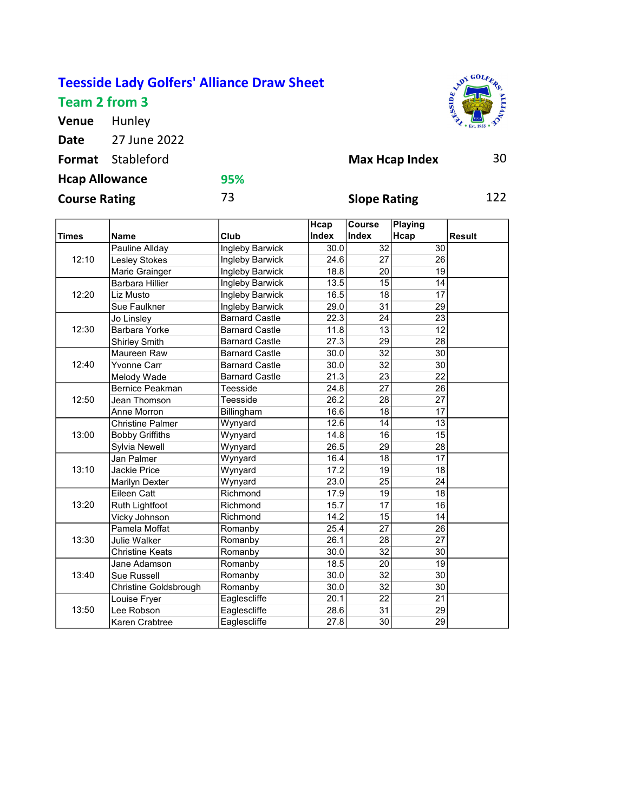## Teesside Lady Golfers' Alliance Draw Sheet Team 2 from 3

Venue Hunley Date 27 June 2022 AND Y GOLFE

| <b>Format</b> Stableford |     | <b>Max Hcap Index</b> | 30  |
|--------------------------|-----|-----------------------|-----|
| <b>Hcap Allowance</b>    | 95% |                       |     |
| <b>Course Rating</b>     | 73  | <b>Slope Rating</b>   | 122 |

|              |                         |                        | Hcap  | Course          | Playing         |               |
|--------------|-------------------------|------------------------|-------|-----------------|-----------------|---------------|
| <b>Times</b> | <b>Name</b>             | Club                   | Index | <b>Index</b>    | Hcap            | <b>Result</b> |
| 12:10        | Pauline Allday          | <b>Ingleby Barwick</b> | 30.0  | 32              | 30              |               |
|              | Lesley Stokes           | Ingleby Barwick        | 24.6  | 27              | 26              |               |
|              | Marie Grainger          | Ingleby Barwick        | 18.8  | 20              | 19              |               |
|              | <b>Barbara Hillier</b>  | Ingleby Barwick        | 13.5  | 15              | 14              |               |
| 12:20        | Liz Musto               | Ingleby Barwick        | 16.5  | 18              | 17              |               |
|              | Sue Faulkner            | Ingleby Barwick        | 29.0  | 31              | 29              |               |
|              | Jo Linsley              | <b>Barnard Castle</b>  | 22.3  | 24              | 23              |               |
| 12:30        | Barbara Yorke           | <b>Barnard Castle</b>  | 11.8  | 13              | 12              |               |
|              | <b>Shirley Smith</b>    | <b>Barnard Castle</b>  | 27.3  | 29              | 28              |               |
|              | Maureen Raw             | <b>Barnard Castle</b>  | 30.0  | 32              | 30              |               |
| 12:40        | Yvonne Carr             | <b>Barnard Castle</b>  | 30.0  | 32              | 30              |               |
|              | Melody Wade             | <b>Barnard Castle</b>  | 21.3  | 23              | 22              |               |
|              | <b>Bernice Peakman</b>  | Teesside               | 24.8  | 27              | 26              |               |
| 12:50        | Jean Thomson            | Teesside               | 26.2  | 28              | 27              |               |
|              | Anne Morron             | Billingham             | 16.6  | 18              | 17              |               |
|              | <b>Christine Palmer</b> | Wynyard                | 12.6  | 14              | $\overline{13}$ |               |
| 13:00        | <b>Bobby Griffiths</b>  | Wynyard                | 14.8  | 16              | 15              |               |
|              | Sylvia Newell           | Wynyard                | 26.5  | 29              | 28              |               |
|              | Jan Palmer              | Wynyard                | 16.4  | 18              | 17              |               |
| 13:10        | Jackie Price            | Wynyard                | 17.2  | 19              | 18              |               |
|              | <b>Marilyn Dexter</b>   | Wynyard                | 23.0  | 25              | 24              |               |
|              | Eileen Catt             | Richmond               | 17.9  | 19              | 18              |               |
| 13:20        | Ruth Lightfoot          | Richmond               | 15.7  | 17              | 16              |               |
|              | Vicky Johnson           | Richmond               | 14.2  | 15              | 14              |               |
| 13:30        | Pamela Moffat           | Romanby                | 25.4  | 27              | 26              |               |
|              | Julie Walker            | Romanby                | 26.1  | 28              | 27              |               |
|              | Christine Keats         | Romanby                | 30.0  | $\overline{32}$ | 30              |               |
| 13:40        | Jane Adamson            | Romanby                | 18.5  | $\overline{20}$ | 19              |               |
|              | <b>Sue Russell</b>      | Romanby                | 30.0  | 32              | 30              |               |
|              | Christine Goldsbrough   | Romanby                | 30.0  | 32              | 30              |               |
|              | Louise Fryer            | Eaglescliffe           | 20.1  | 22              | 21              |               |
| 13:50        | Lee Robson              | Eaglescliffe           | 28.6  | 31              | 29              |               |
|              | Karen Crabtree          | Eaglescliffe           | 27.8  | 30              | 29              |               |